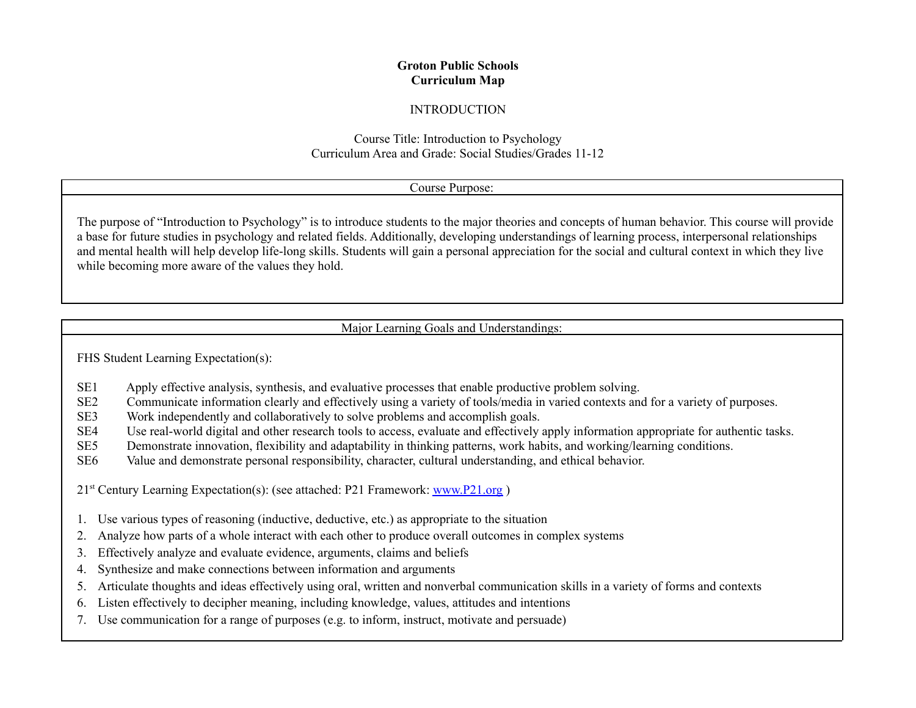## **Groton Public Schools Curriculum Map**

### INTRODUCTION

## Course Title: Introduction to Psychology Curriculum Area and Grade: Social Studies/Grades 11-12

## Course Purpose:

The purpose of "Introduction to Psychology" is to introduce students to the major theories and concepts of human behavior. This course will provide a base for future studies in psychology and related fields. Additionally, developing understandings of learning process, interpersonal relationships and mental health will help develop life-long skills. Students will gain a personal appreciation for the social and cultural context in which they live while becoming more aware of the values they hold.

Major Learning Goals and Understandings:

FHS Student Learning Expectation(s):

- SE1 Apply effective analysis, synthesis, and evaluative processes that enable productive problem solving.
- SE2 Communicate information clearly and effectively using a variety of tools/media in varied contexts and for a variety of purposes.
- SE3 Work independently and collaboratively to solve problems and accomplish goals.
- SE4 Use real-world digital and other research tools to access, evaluate and effectively apply information appropriate for authentic tasks.
- SE5 Demonstrate innovation, flexibility and adaptability in thinking patterns, work habits, and working/learning conditions.
- SE6 Value and demonstrate personal responsibility, character, cultural understanding, and ethical behavior.

21<sup>st</sup> Century Learning Expectation(s): (see attached: P21 Framework: **[www.P21.org](http://www.p21.org)**)

- 1. Use various types of reasoning (inductive, deductive, etc.) as appropriate to the situation
- 2. Analyze how parts of a whole interact with each other to produce overall outcomes in complex systems
- 3. Effectively analyze and evaluate evidence, arguments, claims and beliefs
- 4. Synthesize and make connections between information and arguments
- 5. Articulate thoughts and ideas effectively using oral, written and nonverbal communication skills in a variety of forms and contexts
- 6. Listen effectively to decipher meaning, including knowledge, values, attitudes and intentions
- 7. Use communication for a range of purposes (e.g. to inform, instruct, motivate and persuade)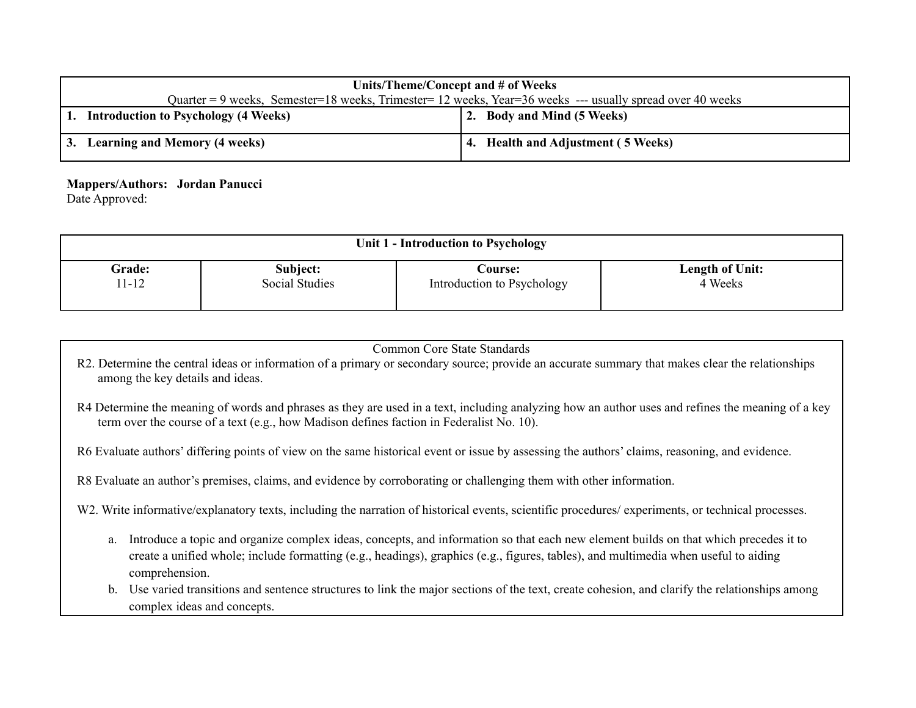| Units/Theme/Concept and # of Weeks                                                                        |  |                                    |  |  |
|-----------------------------------------------------------------------------------------------------------|--|------------------------------------|--|--|
| Quarter = 9 weeks, Semester=18 weeks, Trimester= 12 weeks, Year=36 weeks --- usually spread over 40 weeks |  |                                    |  |  |
| <b>Introduction to Psychology (4 Weeks)</b>                                                               |  | 2. Body and Mind (5 Weeks)         |  |  |
| 3. Learning and Memory (4 weeks)                                                                          |  | 4. Health and Adjustment (5 Weeks) |  |  |

### **Mappers/Authors: Jordan Panucci**

Date Approved:

| Unit 1 - Introduction to Psychology |                |                            |                        |  |  |
|-------------------------------------|----------------|----------------------------|------------------------|--|--|
| <b>Grade:</b>                       | Subject:       | <b>Course:</b>             | <b>Length of Unit:</b> |  |  |
| $1 - 12$                            | Social Studies | Introduction to Psychology | 4 Weeks                |  |  |

| <b>Common Core State Standards</b>                                                                                                                                                                                                                                                                  |  |  |  |  |  |  |
|-----------------------------------------------------------------------------------------------------------------------------------------------------------------------------------------------------------------------------------------------------------------------------------------------------|--|--|--|--|--|--|
| R2. Determine the central ideas or information of a primary or secondary source; provide an accurate summary that makes clear the relationships<br>among the key details and ideas.                                                                                                                 |  |  |  |  |  |  |
| R4 Determine the meaning of words and phrases as they are used in a text, including analyzing how an author uses and refines the meaning of a key<br>term over the course of a text (e.g., how Madison defines faction in Federalist No. 10).                                                       |  |  |  |  |  |  |
| R6 Evaluate authors' differing points of view on the same historical event or issue by assessing the authors' claims, reasoning, and evidence.                                                                                                                                                      |  |  |  |  |  |  |
| R8 Evaluate an author's premises, claims, and evidence by corroborating or challenging them with other information.                                                                                                                                                                                 |  |  |  |  |  |  |
| W2. Write informative/explanatory texts, including the narration of historical events, scientific procedures/experiments, or technical processes.                                                                                                                                                   |  |  |  |  |  |  |
| Introduce a topic and organize complex ideas, concepts, and information so that each new element builds on that which precedes it to<br>a.<br>create a unified whole; include formatting (e.g., headings), graphics (e.g., figures, tables), and multimedia when useful to aiding<br>comprehension. |  |  |  |  |  |  |
| Use varied transitions and sentence structures to link the major sections of the text, create cohesion, and clarify the relationships among<br>b.<br>complex ideas and concepts.                                                                                                                    |  |  |  |  |  |  |
|                                                                                                                                                                                                                                                                                                     |  |  |  |  |  |  |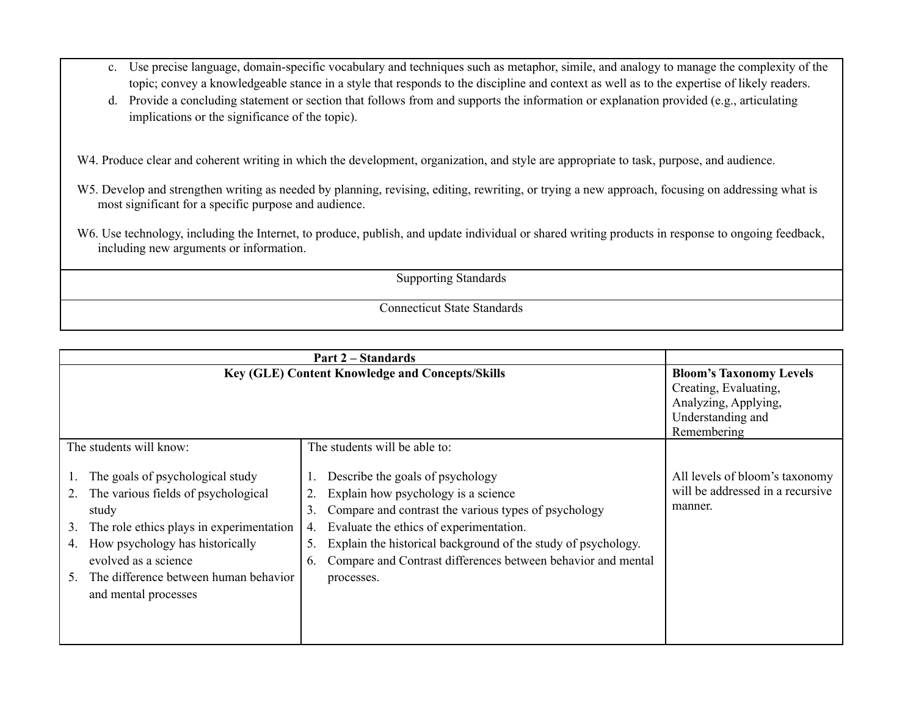- c. Use precise language, domain-specific vocabulary and techniques such as metaphor, simile, and analogy to manage the complexity of the topic; convey a knowledgeable stance in a style that responds to the discipline and context as well as to the expertise of likely readers.
- d. Provide a concluding statement or section that follows from and supports the information or explanation provided (e.g., articulating implications or the significance of the topic).

W4. Produce clear and coherent writing in which the development, organization, and style are appropriate to task, purpose, and audience.

- W5. Develop and strengthen writing as needed by planning, revising, editing, rewriting, or trying a new approach, focusing on addressing what is most significant for a specific purpose and audience.
- W6. Use technology, including the Internet, to produce, publish, and update individual or shared writing products in response to ongoing feedback, including new arguments or information.

Supporting Standards

|                                                                                                                                                                                                                                                                                 | <b>Part 2 – Standards</b>                                                                                                                                                                                                                                                                                                                         |                                                                                                                     |
|---------------------------------------------------------------------------------------------------------------------------------------------------------------------------------------------------------------------------------------------------------------------------------|---------------------------------------------------------------------------------------------------------------------------------------------------------------------------------------------------------------------------------------------------------------------------------------------------------------------------------------------------|---------------------------------------------------------------------------------------------------------------------|
|                                                                                                                                                                                                                                                                                 | <b>Key (GLE) Content Knowledge and Concepts/Skills</b>                                                                                                                                                                                                                                                                                            | <b>Bloom's Taxonomy Levels</b><br>Creating, Evaluating,<br>Analyzing, Applying,<br>Understanding and<br>Remembering |
| The students will know:                                                                                                                                                                                                                                                         | The students will be able to:                                                                                                                                                                                                                                                                                                                     |                                                                                                                     |
| The goals of psychological study<br>The various fields of psychological<br>2.<br>study<br>The role ethics plays in experimentation<br>3.<br>How psychology has historically<br>4.<br>evolved as a science<br>The difference between human behavior<br>5<br>and mental processes | Describe the goals of psychology<br>Explain how psychology is a science<br>Compare and contrast the various types of psychology<br>3.<br>Evaluate the ethics of experimentation.<br>4.<br>Explain the historical background of the study of psychology.<br>5.<br>Compare and Contrast differences between behavior and mental<br>6.<br>processes. | All levels of bloom's taxonomy<br>will be addressed in a recursive<br>manner.                                       |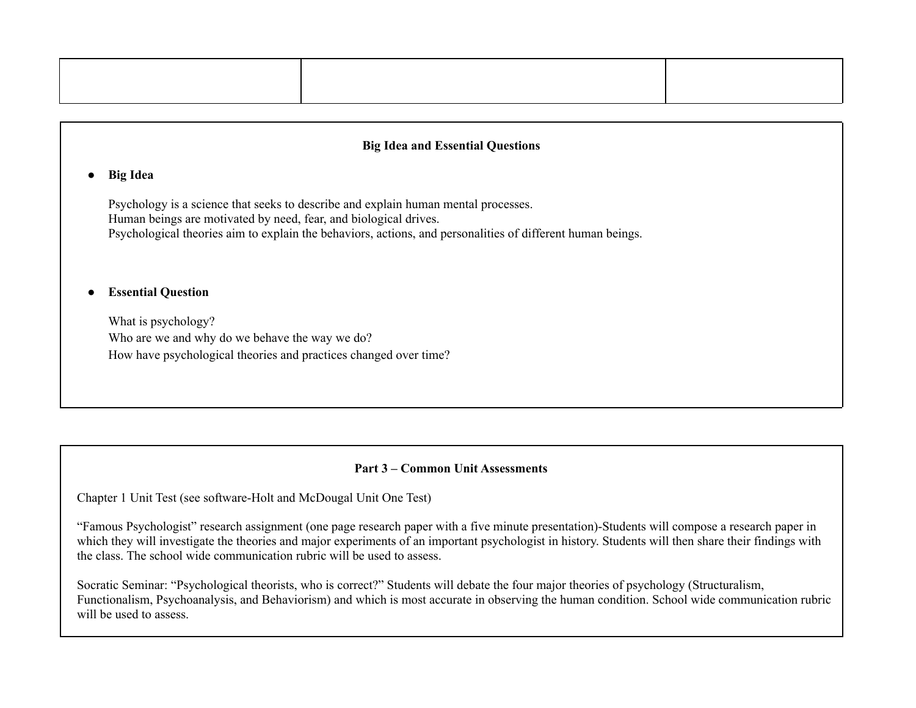# **● Big Idea**

Psychology is a science that seeks to describe and explain human mental processes. Human beings are motivated by need, fear, and biological drives. Psychological theories aim to explain the behaviors, actions, and personalities of different human beings.

#### **● Essential Question**

What is psychology? Who are we and why do we behave the way we do? How have psychological theories and practices changed over time?

### **Part 3 – Common Unit Assessments**

Chapter 1 Unit Test (see software-Holt and McDougal Unit One Test)

"Famous Psychologist" research assignment (one page research paper with a five minute presentation)-Students will compose a research paper in which they will investigate the theories and major experiments of an important psychologist in history. Students will then share their findings with the class. The school wide communication rubric will be used to assess.

Socratic Seminar: "Psychological theorists, who is correct?" Students will debate the four major theories of psychology (Structuralism, Functionalism, Psychoanalysis, and Behaviorism) and which is most accurate in observing the human condition. School wide communication rubric will be used to assess.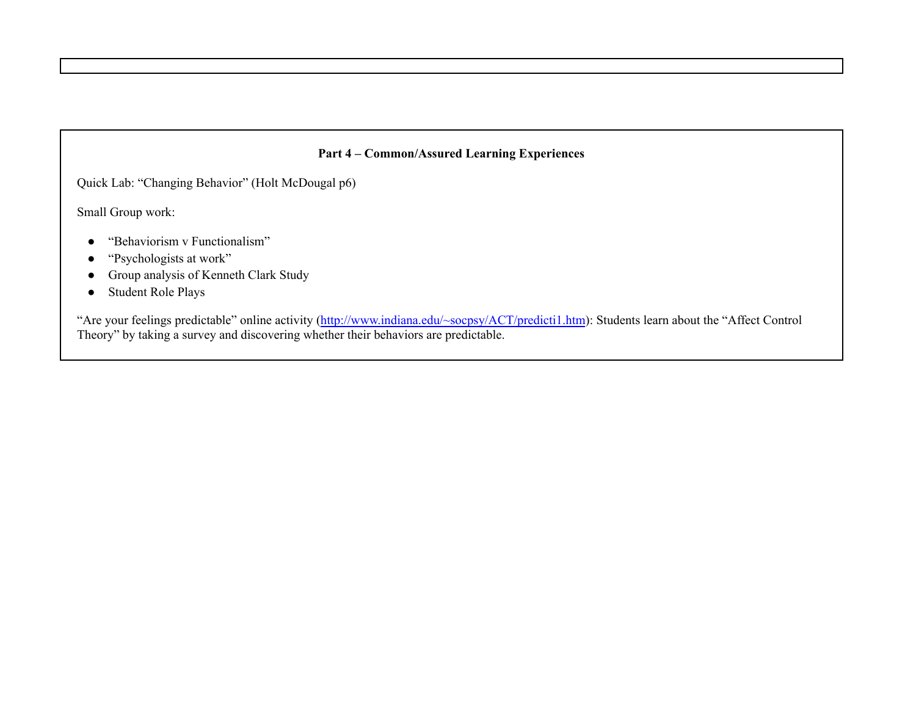## **Part 4 – Common/Assured Learning Experiences**

Quick Lab: "Changing Behavior" (Holt McDougal p6)

Small Group work:

- "Behaviorism v Functionalism"
- "Psychologists at work"
- Group analysis of Kenneth Clark Study
- Student Role Plays

"Are your feelings predictable" online activity [\(http://www.indiana.edu/~socpsy/ACT/predicti1.htm](http://www.indiana.edu/~socpsy/ACT/predicti1.htm)): Students learn about the "Affect Control Theory" by taking a survey and discovering whether their behaviors are predictable.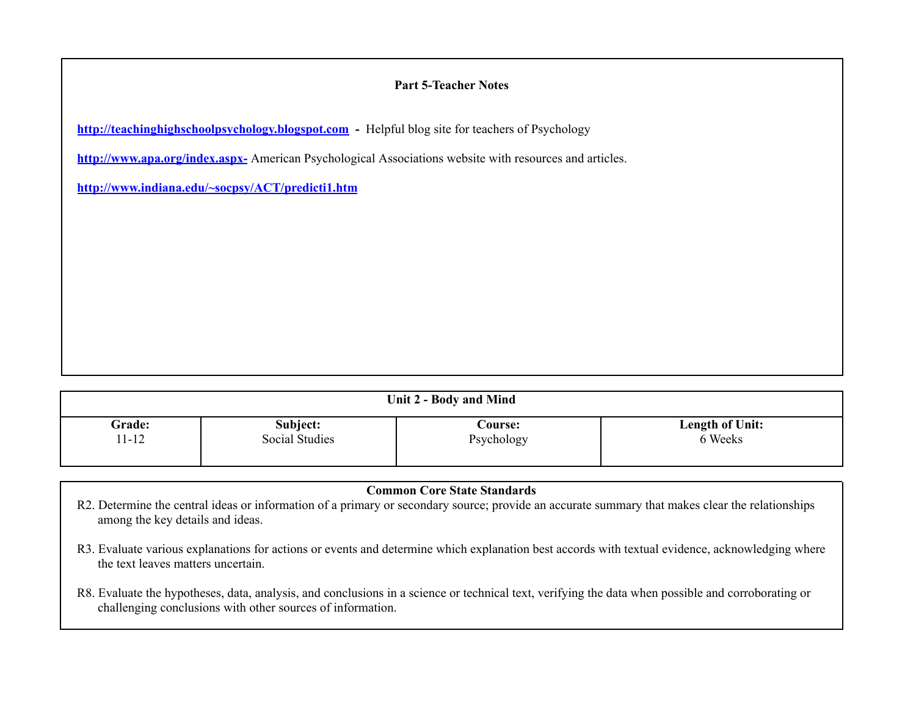# **Part 5-Teacher Notes**

**<http://teachinghighschoolpsychology.blogspot.com> -** Helpful blog site for teachers of Psychology

**<http://www.apa.org/index.aspx->** American Psychological Associations website with resources and articles.

**<http://www.indiana.edu/~socpsy/ACT/predicti1.htm>**

| Unit 2 - Body and Mind |                |                |                        |  |  |
|------------------------|----------------|----------------|------------------------|--|--|
| <b>Grade:</b>          | Subject:       | <b>Course:</b> | <b>Length of Unit:</b> |  |  |
| $11 - 12$              | Social Studies | Psychology     | 6 Weeks                |  |  |

| <b>Common Core State Standards</b>                                                                                                                                                                               |  |  |  |
|------------------------------------------------------------------------------------------------------------------------------------------------------------------------------------------------------------------|--|--|--|
| R2. Determine the central ideas or information of a primary or secondary source; provide an accurate summary that makes clear the relationships<br>among the key details and ideas.                              |  |  |  |
| R3. Evaluate various explanations for actions or events and determine which explanation best accords with textual evidence, acknowledging where<br>the text leaves matters uncertain.                            |  |  |  |
| R8. Evaluate the hypotheses, data, analysis, and conclusions in a science or technical text, verifying the data when possible and corroborating or<br>challenging conclusions with other sources of information. |  |  |  |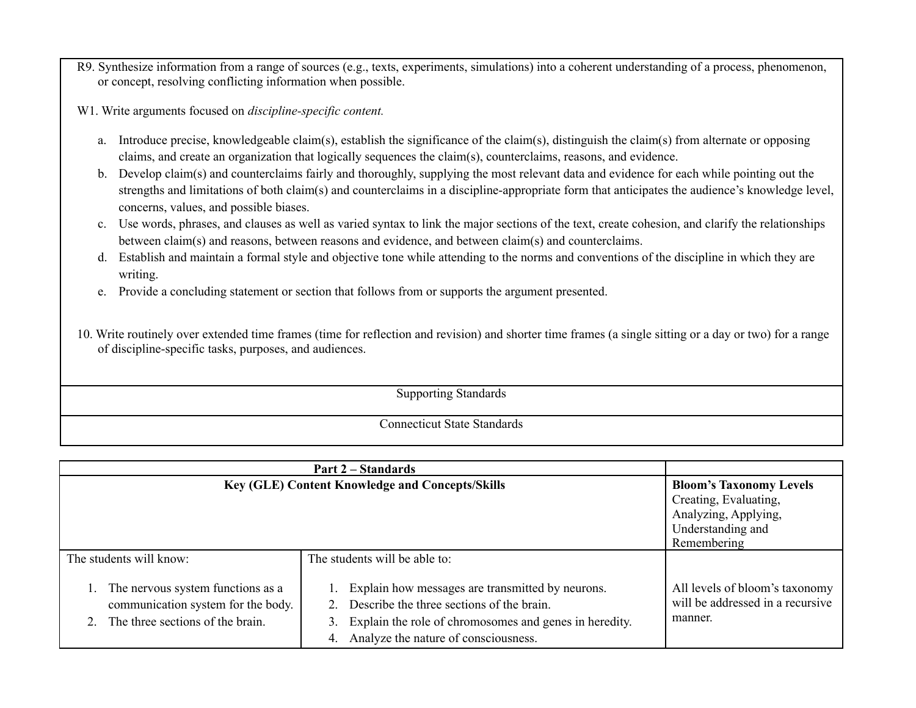- R9. Synthesize information from a range of sources (e.g., texts, experiments, simulations) into a coherent understanding of a process, phenomenon, or concept, resolving conflicting information when possible.
- W1. Write arguments focused on *discipline-specific content.*
	- a. Introduce precise, knowledgeable claim(s), establish the significance of the claim(s), distinguish the claim(s) from alternate or opposing claims, and create an organization that logically sequences the claim(s), counterclaims, reasons, and evidence.
	- b. Develop claim(s) and counterclaims fairly and thoroughly, supplying the most relevant data and evidence for each while pointing out the strengths and limitations of both claim(s) and counterclaims in a discipline-appropriate form that anticipates the audience's knowledge level, concerns, values, and possible biases.
	- c. Use words, phrases, and clauses as well as varied syntax to link the major sections of the text, create cohesion, and clarify the relationships between claim(s) and reasons, between reasons and evidence, and between claim(s) and counterclaims.
	- d. Establish and maintain a formal style and objective tone while attending to the norms and conventions of the discipline in which they are writing.
	- e. Provide a concluding statement or section that follows from or supports the argument presented.
- 10. Write routinely over extended time frames (time for reflection and revision) and shorter time frames (a single sitting or a day or two) for a range of discipline-specific tasks, purposes, and audiences.

Supporting Standards

|                                                                                                             | <b>Part 2 – Standards</b>                                                                                                                                                                             |                                                                               |
|-------------------------------------------------------------------------------------------------------------|-------------------------------------------------------------------------------------------------------------------------------------------------------------------------------------------------------|-------------------------------------------------------------------------------|
| <b>Key (GLE) Content Knowledge and Concepts/Skills</b>                                                      | <b>Bloom's Taxonomy Levels</b>                                                                                                                                                                        |                                                                               |
|                                                                                                             |                                                                                                                                                                                                       | Creating, Evaluating,                                                         |
|                                                                                                             | Analyzing, Applying,                                                                                                                                                                                  |                                                                               |
|                                                                                                             | Understanding and                                                                                                                                                                                     |                                                                               |
|                                                                                                             |                                                                                                                                                                                                       | Remembering                                                                   |
| The students will know:                                                                                     | The students will be able to:                                                                                                                                                                         |                                                                               |
| The nervous system functions as a<br>communication system for the body.<br>The three sections of the brain. | Explain how messages are transmitted by neurons.<br>Describe the three sections of the brain.<br>Explain the role of chromosomes and genes in heredity.<br>Analyze the nature of consciousness.<br>4. | All levels of bloom's taxonomy<br>will be addressed in a recursive<br>manner. |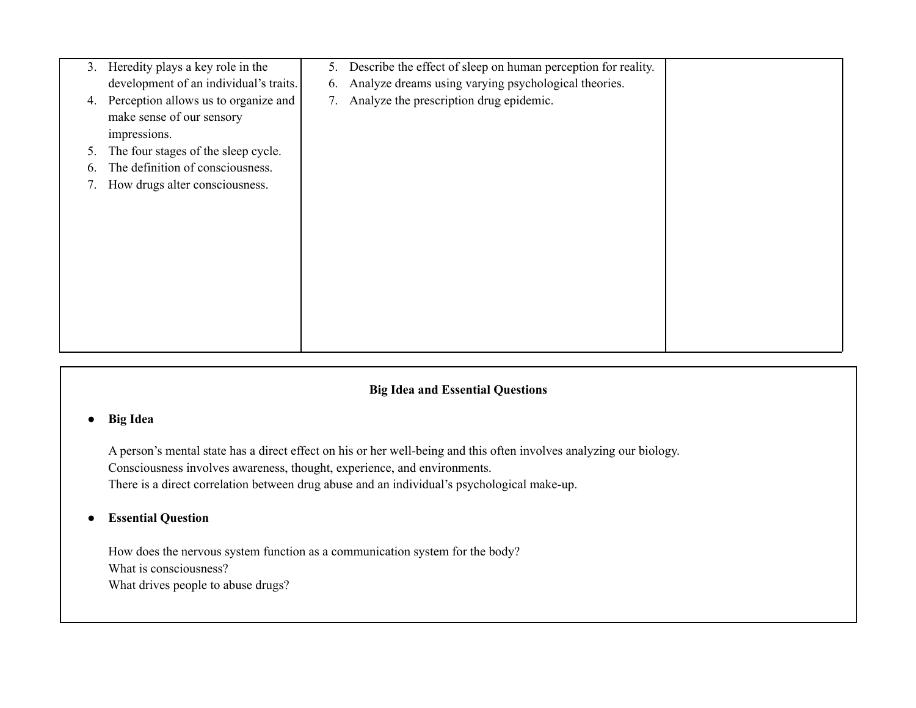| 3. | Heredity plays a key role in the          | 5. | Describe the effect of sleep on human perception for reality. |  |
|----|-------------------------------------------|----|---------------------------------------------------------------|--|
|    | development of an individual's traits.    | 6. | Analyze dreams using varying psychological theories.          |  |
| 4. | Perception allows us to organize and      | 7. | Analyze the prescription drug epidemic.                       |  |
|    | make sense of our sensory<br>impressions. |    |                                                               |  |
| 5. | The four stages of the sleep cycle.       |    |                                                               |  |
|    | The definition of consciousness.          |    |                                                               |  |
|    | How drugs alter consciousness.            |    |                                                               |  |
|    |                                           |    |                                                               |  |
|    |                                           |    |                                                               |  |
|    |                                           |    |                                                               |  |
|    |                                           |    |                                                               |  |
|    |                                           |    |                                                               |  |
|    |                                           |    |                                                               |  |
|    |                                           |    |                                                               |  |
|    |                                           |    |                                                               |  |
|    |                                           |    |                                                               |  |

# **● Big Idea**

A person's mental state has a direct effect on his or her well-being and this often involves analyzing our biology. Consciousness involves awareness, thought, experience, and environments. There is a direct correlation between drug abuse and an individual's psychological make-up.

# **● Essential Question**

How does the nervous system function as a communication system for the body? What is consciousness? What drives people to abuse drugs?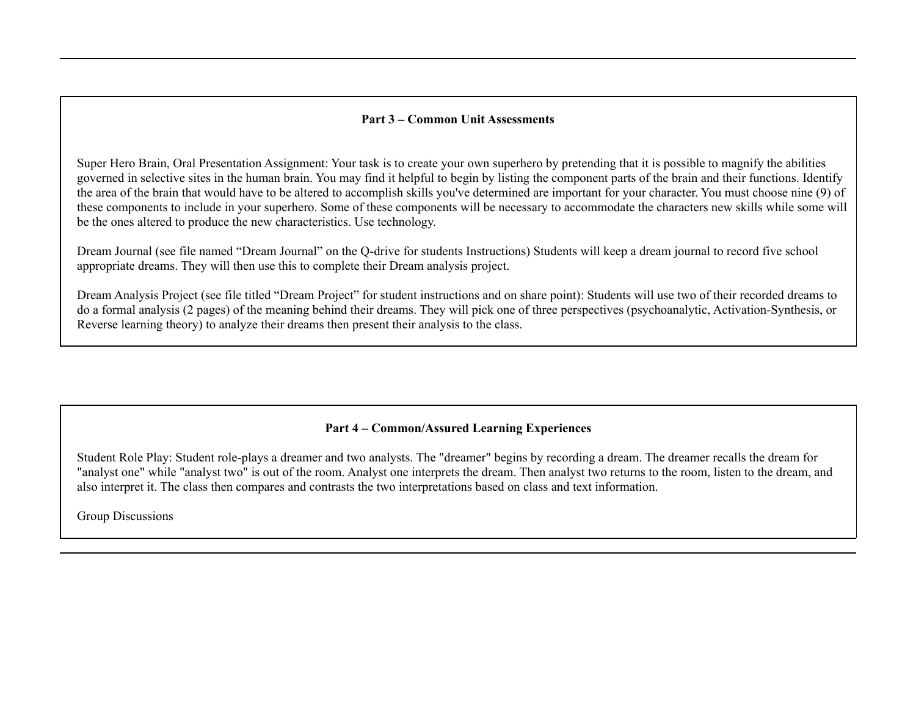### **Part 3 – Common Unit Assessments**

Super Hero Brain, Oral Presentation Assignment: Your task is to create your own superhero by pretending that it is possible to magnify the abilities governed in selective sites in the human brain. You may find it helpful to begin by listing the component parts of the brain and their functions. Identify the area of the brain that would have to be altered to accomplish skills you've determined are important for your character. You must choose nine (9) of these components to include in your superhero. Some of these components will be necessary to accommodate the characters new skills while some will be the ones altered to produce the new characteristics. Use technology.

Dream Journal (see file named "Dream Journal" on the Q-drive for students Instructions) Students will keep a dream journal to record five school appropriate dreams. They will then use this to complete their Dream analysis project.

Dream Analysis Project (see file titled "Dream Project" for student instructions and on share point): Students will use two of their recorded dreams to do a formal analysis (2 pages) of the meaning behind their dreams. They will pick one of three perspectives (psychoanalytic, Activation-Synthesis, or Reverse learning theory) to analyze their dreams then present their analysis to the class.

### **Part 4 – Common/Assured Learning Experiences**

Student Role Play: Student role-plays a dreamer and two analysts. The "dreamer" begins by recording a dream. The dreamer recalls the dream for "analyst one" while "analyst two" is out of the room. Analyst one interprets the dream. Then analyst two returns to the room, listen to the dream, and also interpret it. The class then compares and contrasts the two interpretations based on class and text information.

Group Discussions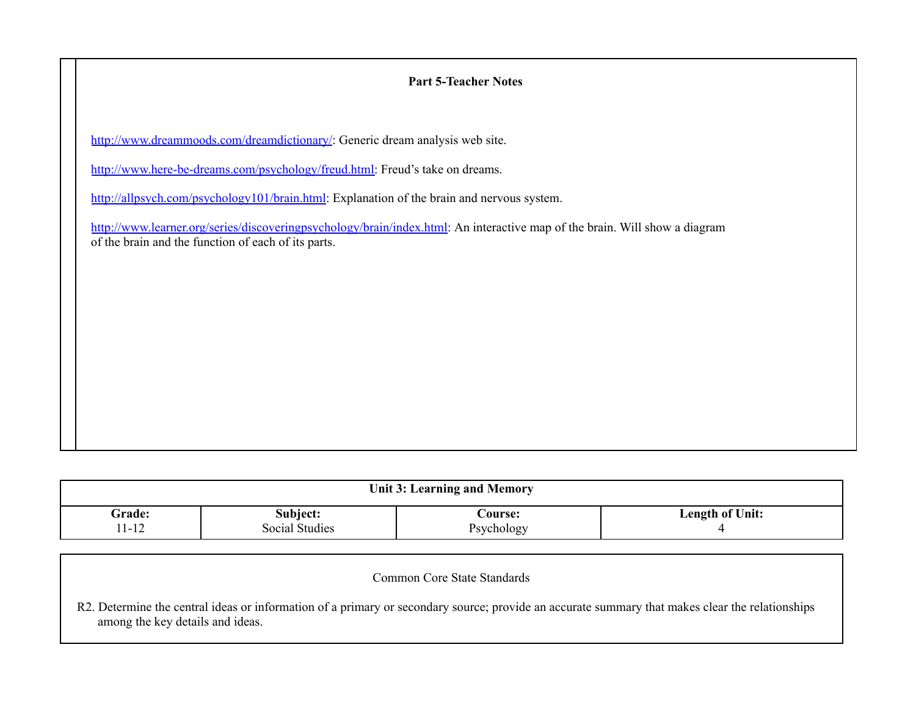# **Part 5-Teacher Notes**

<http://www.dreammoods.com/dreamdictionary/>: Generic dream analysis web site.

[http://www.here-be-dreams.com/psychology/freud.html:](http://www.here-be-dreams.com/psychology/freud.html) Freud's take on dreams.

[http://allpsych.com/psychology101/brain.html:](http://allpsych.com/psychology101/brain.html) Explanation of the brain and nervous system.

[http://www.learner.org/series/discoveringpsychology/brain/index.html:](http://www.learner.org/series/discoveringpsychology/brain/index.html) An interactive map of the brain. Will show a diagram of the brain and the function of each of its parts.

| <b>Unit 3: Learning and Memory</b> |                       |                |                 |  |  |
|------------------------------------|-----------------------|----------------|-----------------|--|--|
| <b>Grade:</b>                      | Subject:              | <b>Course:</b> | Length of Unit: |  |  |
| $1 - 12$                           | <b>Social Studies</b> | Psychology     |                 |  |  |

| Common Core State Standards                                                                                                                                                         |
|-------------------------------------------------------------------------------------------------------------------------------------------------------------------------------------|
| R2. Determine the central ideas or information of a primary or secondary source; provide an accurate summary that makes clear the relationships<br>among the key details and ideas. |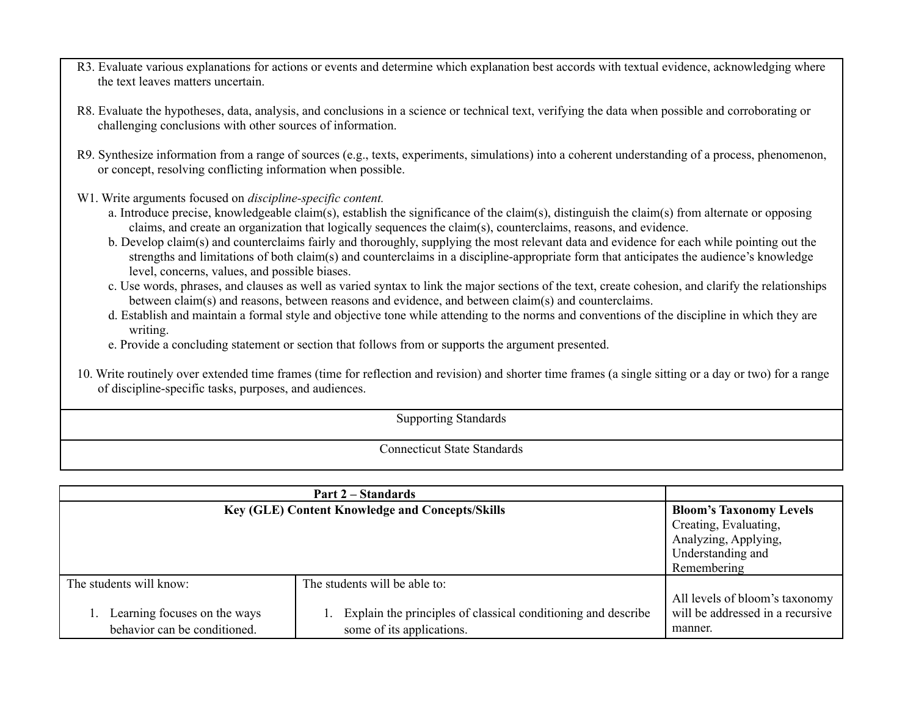- R3. Evaluate various explanations for actions or events and determine which explanation best accords with textual evidence, acknowledging where the text leaves matters uncertain.
- R8. Evaluate the hypotheses, data, analysis, and conclusions in a science or technical text, verifying the data when possible and corroborating or challenging conclusions with other sources of information.
- R9. Synthesize information from a range of sources (e.g., texts, experiments, simulations) into a coherent understanding of a process, phenomenon, or concept, resolving conflicting information when possible.
- W1. Write arguments focused on *discipline-specific content.*
	- a. Introduce precise, knowledgeable claim(s), establish the significance of the claim(s), distinguish the claim(s) from alternate or opposing claims, and create an organization that logically sequences the claim(s), counterclaims, reasons, and evidence.
	- b. Develop claim(s) and counterclaims fairly and thoroughly, supplying the most relevant data and evidence for each while pointing out the strengths and limitations of both claim(s) and counterclaims in a discipline-appropriate form that anticipates the audience's knowledge level, concerns, values, and possible biases.
	- c. Use words, phrases, and clauses as well as varied syntax to link the major sections of the text, create cohesion, and clarify the relationships between claim(s) and reasons, between reasons and evidence, and between claim(s) and counterclaims.
	- d. Establish and maintain a formal style and objective tone while attending to the norms and conventions of the discipline in which they are writing.
	- e. Provide a concluding statement or section that follows from or supports the argument presented.
- 10. Write routinely over extended time frames (time for reflection and revision) and shorter time frames (a single sitting or a day or two) for a range of discipline-specific tasks, purposes, and audiences.

Supporting Standards

|                                                              | <b>Part 2 – Standards</b>                                                                  |                                                                               |
|--------------------------------------------------------------|--------------------------------------------------------------------------------------------|-------------------------------------------------------------------------------|
| <b>Key (GLE) Content Knowledge and Concepts/Skills</b>       | <b>Bloom's Taxonomy Levels</b><br>Creating, Evaluating,                                    |                                                                               |
|                                                              | Analyzing, Applying,                                                                       |                                                                               |
|                                                              |                                                                                            | Understanding and<br>Remembering                                              |
| The students will know:                                      | The students will be able to:                                                              |                                                                               |
| Learning focuses on the ways<br>behavior can be conditioned. | Explain the principles of classical conditioning and describe<br>some of its applications. | All levels of bloom's taxonomy<br>will be addressed in a recursive<br>manner. |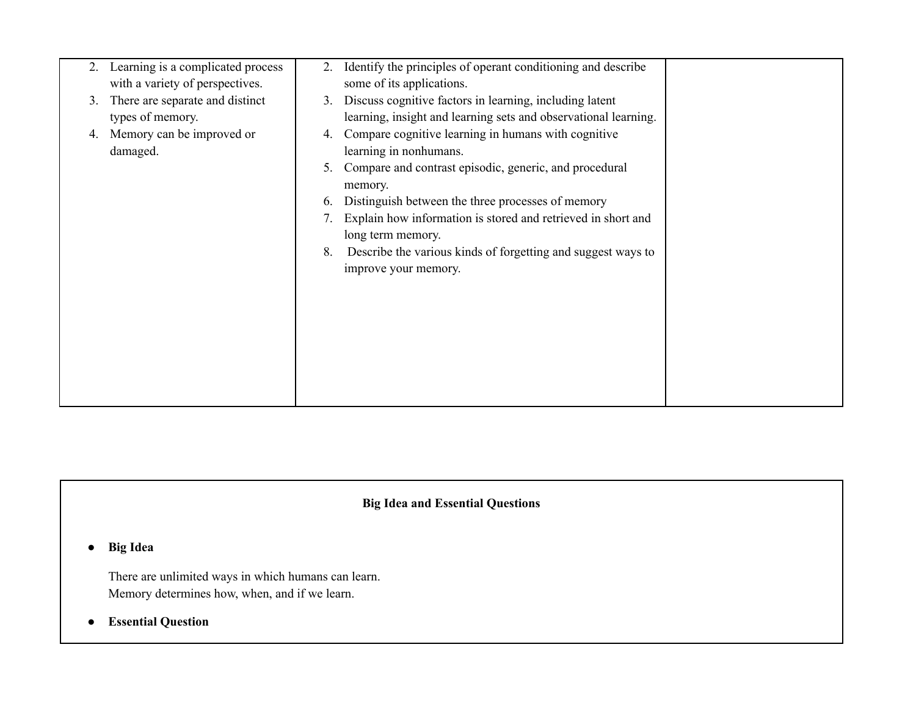| 2. | Learning is a complicated process<br>with a variety of perspectives. | 2.       | Identify the principles of operant conditioning and describe<br>some of its applications.                                               |  |
|----|----------------------------------------------------------------------|----------|-----------------------------------------------------------------------------------------------------------------------------------------|--|
| 3. | There are separate and distinct<br>types of memory.                  | 3.       | Discuss cognitive factors in learning, including latent<br>learning, insight and learning sets and observational learning.              |  |
| 4. | Memory can be improved or<br>damaged.                                | 4.<br>5. | Compare cognitive learning in humans with cognitive<br>learning in nonhumans.<br>Compare and contrast episodic, generic, and procedural |  |
|    |                                                                      | 6.       | memory.<br>Distinguish between the three processes of memory                                                                            |  |
|    |                                                                      |          | Explain how information is stored and retrieved in short and<br>long term memory.                                                       |  |
|    |                                                                      | 8.       | Describe the various kinds of forgetting and suggest ways to<br>improve your memory.                                                    |  |
|    |                                                                      |          |                                                                                                                                         |  |
|    |                                                                      |          |                                                                                                                                         |  |
|    |                                                                      |          |                                                                                                                                         |  |
|    |                                                                      |          |                                                                                                                                         |  |

**● Big Idea**

There are unlimited ways in which humans can learn. Memory determines how, when, and if we learn.

**● Essential Question**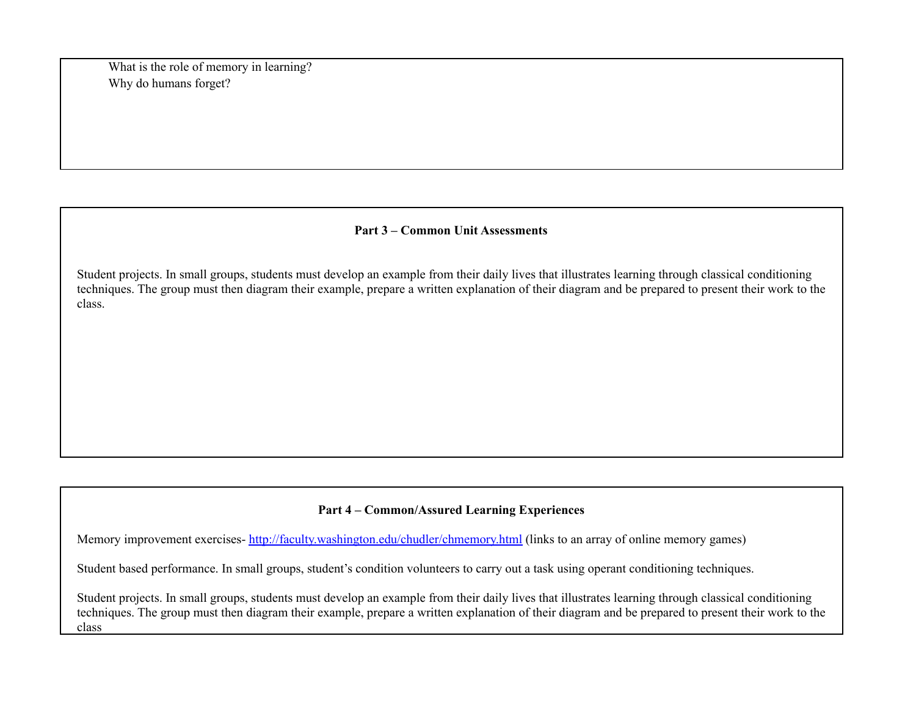What is the role of memory in learning? Why do humans forget?

### **Part 3 – Common Unit Assessments**

Student projects. In small groups, students must develop an example from their daily lives that illustrates learning through classical conditioning techniques. The group must then diagram their example, prepare a written explanation of their diagram and be prepared to present their work to the class.

# **Part 4 – Common/Assured Learning Experiences**

Memory improvement exercises- <http://faculty.washington.edu/chudler/chmemory.html> (links to an array of online memory games)

Student based performance. In small groups, student's condition volunteers to carry out a task using operant conditioning techniques.

Student projects. In small groups, students must develop an example from their daily lives that illustrates learning through classical conditioning techniques. The group must then diagram their example, prepare a written explanation of their diagram and be prepared to present their work to the class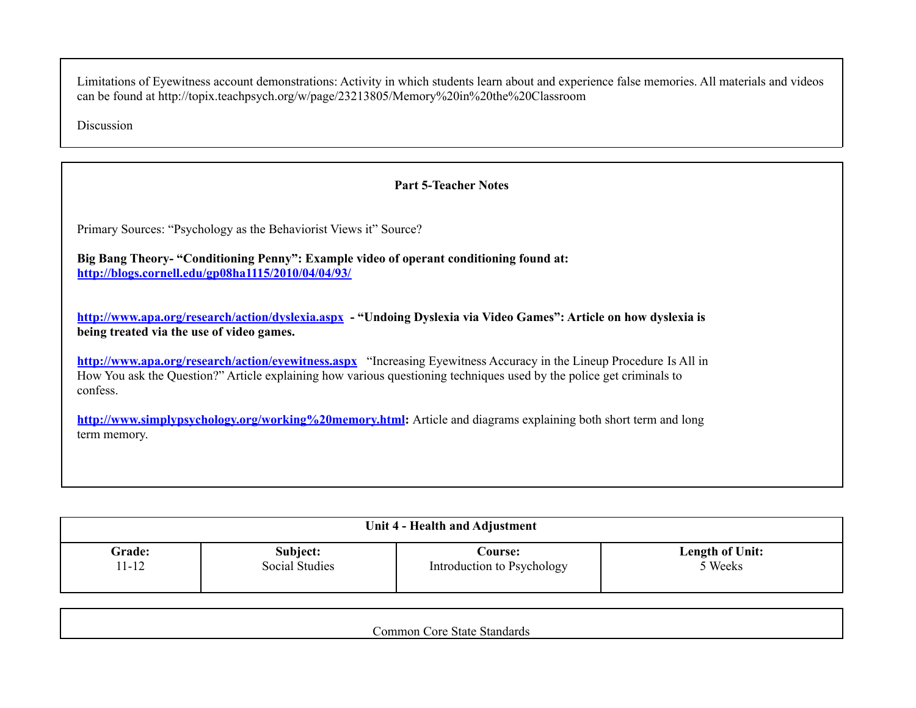Limitations of Eyewitness account demonstrations: Activity in which students learn about and experience false memories. All materials and videos can be found at http://topix.teachpsych.org/w/page/23213805/Memory%20in%20the%20Classroom

Discussion

## **Part 5-Teacher Notes**

Primary Sources: "Psychology as the Behaviorist Views it" Source?

**Big Bang Theory- "Conditioning Penny": Example video of operant conditioning found at: <http://blogs.cornell.edu/gp08ha1115/2010/04/04/93/>**

**<http://www.apa.org/research/action/dyslexia.aspx> - "Undoing Dyslexia via Video Games": Article on how dyslexia is being treated via the use of video games.**

**<http://www.apa.org/research/action/eyewitness.aspx>** "Increasing Eyewitness Accuracy in the Lineup Procedure Is All in How You ask the Question?" Article explaining how various questioning techniques used by the police get criminals to confess.

**<http://www.simplypsychology.org/working%20memory.html>:** Article and diagrams explaining both short term and long term memory.

| Unit 4 - Health and Adjustment |                       |                            |                        |  |  |  |  |  |
|--------------------------------|-----------------------|----------------------------|------------------------|--|--|--|--|--|
| Grade:                         | Subject:              | Course:                    | <b>Length of Unit:</b> |  |  |  |  |  |
| 11-12                          | <b>Social Studies</b> | Introduction to Psychology | 5 Weeks                |  |  |  |  |  |

Common Core State Standards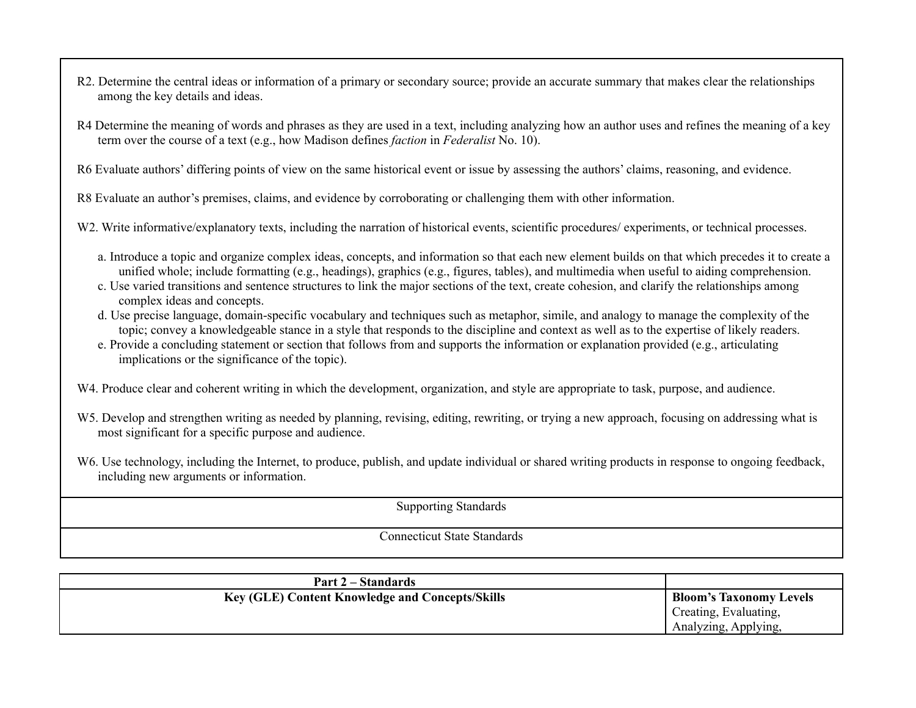- R2. Determine the central ideas or information of a primary or secondary source; provide an accurate summary that makes clear the relationships among the key details and ideas.
- R4 Determine the meaning of words and phrases as they are used in a text, including analyzing how an author uses and refines the meaning of a key term over the course of a text (e.g., how Madison defines *faction* in *Federalist* No. 10).

R6 Evaluate authors' differing points of view on the same historical event or issue by assessing the authors' claims, reasoning, and evidence.

R8 Evaluate an author's premises, claims, and evidence by corroborating or challenging them with other information.

W2. Write informative/explanatory texts, including the narration of historical events, scientific procedures/ experiments, or technical processes.

- a. Introduce a topic and organize complex ideas, concepts, and information so that each new element builds on that which precedes it to create a unified whole; include formatting (e.g., headings), graphics (e.g., figures, tables), and multimedia when useful to aiding comprehension.
- c. Use varied transitions and sentence structures to link the major sections of the text, create cohesion, and clarify the relationships among complex ideas and concepts.
- d. Use precise language, domain-specific vocabulary and techniques such as metaphor, simile, and analogy to manage the complexity of the topic; convey a knowledgeable stance in a style that responds to the discipline and context as well as to the expertise of likely readers.
- e. Provide a concluding statement or section that follows from and supports the information or explanation provided (e.g., articulating implications or the significance of the topic).

W4. Produce clear and coherent writing in which the development, organization, and style are appropriate to task, purpose, and audience.

W5. Develop and strengthen writing as needed by planning, revising, editing, rewriting, or trying a new approach, focusing on addressing what is most significant for a specific purpose and audience.

W6. Use technology, including the Internet, to produce, publish, and update individual or shared writing products in response to ongoing feedback, including new arguments or information.

Supporting Standards

| Part 2 – Standards                                     |                                                                                 |
|--------------------------------------------------------|---------------------------------------------------------------------------------|
| <b>Key (GLE) Content Knowledge and Concepts/Skills</b> | <b>Bloom's Taxonomy Levels</b><br>Creating, Evaluating,<br>Analyzing, Applying, |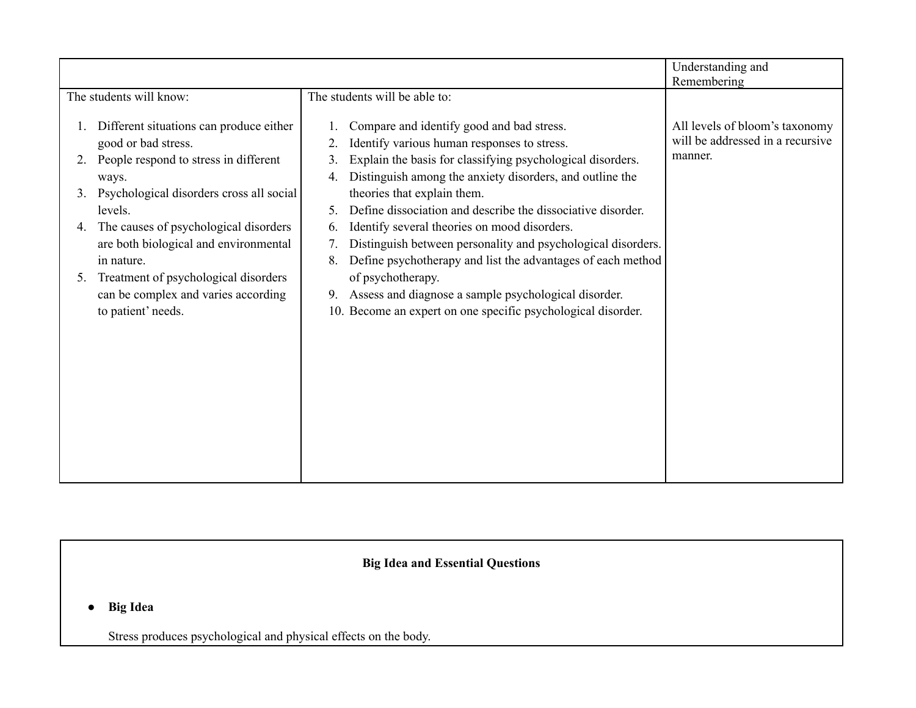|                                                                                                                                                                                                                                                                                                                                                                                             |                                                                                                                                                                                                                                                                                                                                                                                                                                                                                                                                                                                                                                                                                                                      | Understanding and<br>Remembering                                              |
|---------------------------------------------------------------------------------------------------------------------------------------------------------------------------------------------------------------------------------------------------------------------------------------------------------------------------------------------------------------------------------------------|----------------------------------------------------------------------------------------------------------------------------------------------------------------------------------------------------------------------------------------------------------------------------------------------------------------------------------------------------------------------------------------------------------------------------------------------------------------------------------------------------------------------------------------------------------------------------------------------------------------------------------------------------------------------------------------------------------------------|-------------------------------------------------------------------------------|
| The students will know:                                                                                                                                                                                                                                                                                                                                                                     | The students will be able to:                                                                                                                                                                                                                                                                                                                                                                                                                                                                                                                                                                                                                                                                                        |                                                                               |
| Different situations can produce either<br>good or bad stress.<br>People respond to stress in different<br>ways.<br>Psychological disorders cross all social<br>3.<br>levels.<br>4. The causes of psychological disorders<br>are both biological and environmental<br>in nature.<br>Treatment of psychological disorders<br>5.<br>can be complex and varies according<br>to patient' needs. | Compare and identify good and bad stress.<br>Identify various human responses to stress.<br>Explain the basis for classifying psychological disorders.<br>3.<br>Distinguish among the anxiety disorders, and outline the<br>4.<br>theories that explain them.<br>Define dissociation and describe the dissociative disorder.<br>5.<br>Identify several theories on mood disorders.<br>6.<br>Distinguish between personality and psychological disorders.<br>$7_{\scriptscriptstyle{\ddots}}$<br>Define psychotherapy and list the advantages of each method<br>8.<br>of psychotherapy.<br>Assess and diagnose a sample psychological disorder.<br>9.<br>10. Become an expert on one specific psychological disorder. | All levels of bloom's taxonomy<br>will be addressed in a recursive<br>manner. |

**● Big Idea**

Stress produces psychological and physical effects on the body.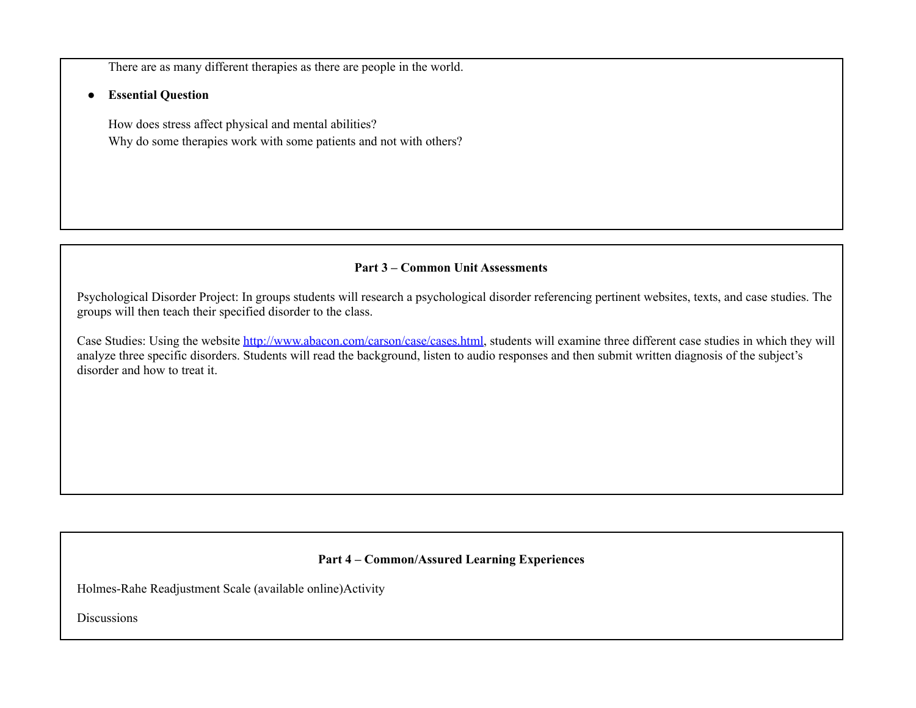There are as many different therapies as there are people in the world.

**● Essential Question**

How does stress affect physical and mental abilities? Why do some therapies work with some patients and not with others?

### **Part 3 – Common Unit Assessments**

Psychological Disorder Project: In groups students will research a psychological disorder referencing pertinent websites, texts, and case studies. The groups will then teach their specified disorder to the class.

Case Studies: Using the website <http://www.abacon.com/carson/case/cases.html>, students will examine three different case studies in which they will analyze three specific disorders. Students will read the background, listen to audio responses and then submit written diagnosis of the subject's disorder and how to treat it.

# **Part 4 – Common/Assured Learning Experiences**

Holmes-Rahe Readjustment Scale (available online)Activity

**Discussions**